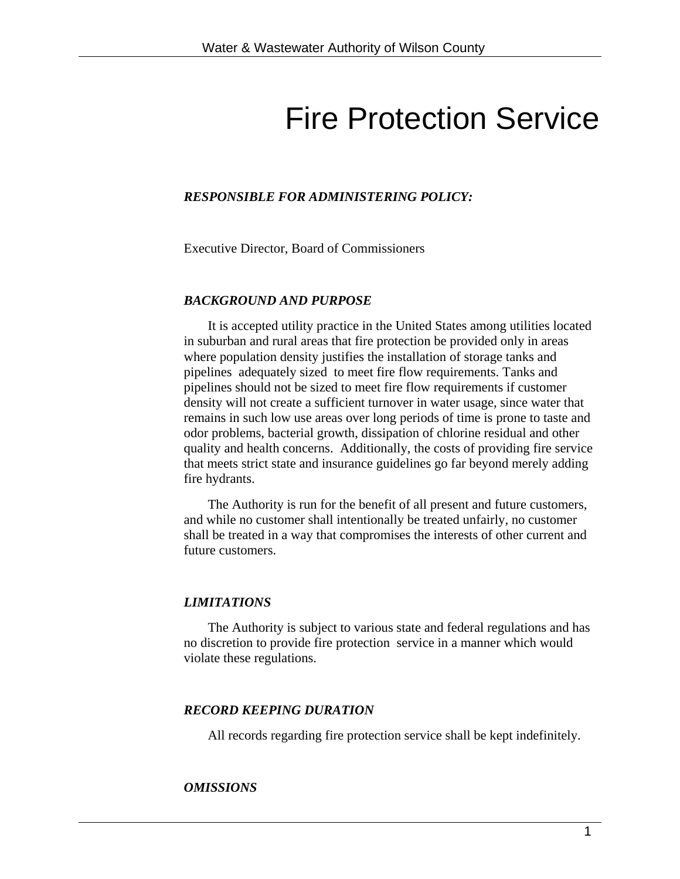# Fire Protection Service

#### *RESPONSIBLE FOR ADMINISTERING POLICY:*

Executive Director, Board of Commissioners

#### *BACKGROUND AND PURPOSE*

It is accepted utility practice in the United States among utilities located in suburban and rural areas that fire protection be provided only in areas where population density justifies the installation of storage tanks and pipelines adequately sized to meet fire flow requirements. Tanks and pipelines should not be sized to meet fire flow requirements if customer density will not create a sufficient turnover in water usage, since water that remains in such low use areas over long periods of time is prone to taste and odor problems, bacterial growth, dissipation of chlorine residual and other quality and health concerns. Additionally, the costs of providing fire service that meets strict state and insurance guidelines go far beyond merely adding fire hydrants.

The Authority is run for the benefit of all present and future customers, and while no customer shall intentionally be treated unfairly, no customer shall be treated in a way that compromises the interests of other current and future customers.

#### *LIMITATIONS*

The Authority is subject to various state and federal regulations and has no discretion to provide fire protection service in a manner which would violate these regulations.

#### *RECORD KEEPING DURATION*

All records regarding fire protection service shall be kept indefinitely.

#### *OMISSIONS*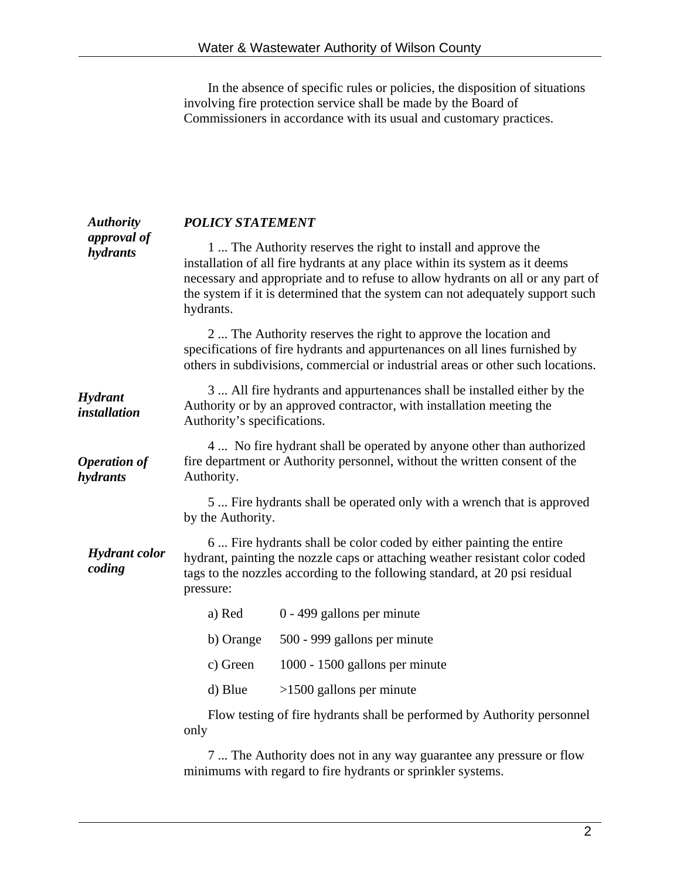In the absence of specific rules or policies, the disposition of situations involving fire protection service shall be made by the Board of Commissioners in accordance with its usual and customary practices.

| <b>Authority</b>                | <b>POLICY STATEMENT</b>                                                                                                                                                                                                                                                                                                         |                                                                                                                                                                                                                                   |  |
|---------------------------------|---------------------------------------------------------------------------------------------------------------------------------------------------------------------------------------------------------------------------------------------------------------------------------------------------------------------------------|-----------------------------------------------------------------------------------------------------------------------------------------------------------------------------------------------------------------------------------|--|
| approval of<br>hydrants         | 1 The Authority reserves the right to install and approve the<br>installation of all fire hydrants at any place within its system as it deems<br>necessary and appropriate and to refuse to allow hydrants on all or any part of<br>the system if it is determined that the system can not adequately support such<br>hydrants. |                                                                                                                                                                                                                                   |  |
|                                 |                                                                                                                                                                                                                                                                                                                                 | 2  The Authority reserves the right to approve the location and<br>specifications of fire hydrants and appurtenances on all lines furnished by<br>others in subdivisions, commercial or industrial areas or other such locations. |  |
| Hydrant<br><i>installation</i>  | 3  All fire hydrants and appurtenances shall be installed either by the<br>Authority or by an approved contractor, with installation meeting the<br>Authority's specifications.                                                                                                                                                 |                                                                                                                                                                                                                                   |  |
| <b>Operation of</b><br>hydrants | 4  No fire hydrant shall be operated by anyone other than authorized<br>fire department or Authority personnel, without the written consent of the<br>Authority.                                                                                                                                                                |                                                                                                                                                                                                                                   |  |
|                                 | 5 Fire hydrants shall be operated only with a wrench that is approved<br>by the Authority.                                                                                                                                                                                                                                      |                                                                                                                                                                                                                                   |  |
| <b>Hydrant</b> color<br>coding  | 6  Fire hydrants shall be color coded by either painting the entire<br>hydrant, painting the nozzle caps or attaching weather resistant color coded<br>tags to the nozzles according to the following standard, at 20 psi residual<br>pressure:                                                                                 |                                                                                                                                                                                                                                   |  |
|                                 | a) Red                                                                                                                                                                                                                                                                                                                          | 0 - 499 gallons per minute                                                                                                                                                                                                        |  |
|                                 | b) Orange                                                                                                                                                                                                                                                                                                                       | 500 - 999 gallons per minute                                                                                                                                                                                                      |  |
|                                 | c) Green                                                                                                                                                                                                                                                                                                                        | 1000 - 1500 gallons per minute                                                                                                                                                                                                    |  |
|                                 | d) Blue                                                                                                                                                                                                                                                                                                                         | $>1500$ gallons per minute                                                                                                                                                                                                        |  |
|                                 | only                                                                                                                                                                                                                                                                                                                            | Flow testing of fire hydrants shall be performed by Authority personnel                                                                                                                                                           |  |
|                                 | 7  The Authority does not in any way guarantee any pressure or flow<br>minimums with regard to fire hydrants or sprinkler systems.                                                                                                                                                                                              |                                                                                                                                                                                                                                   |  |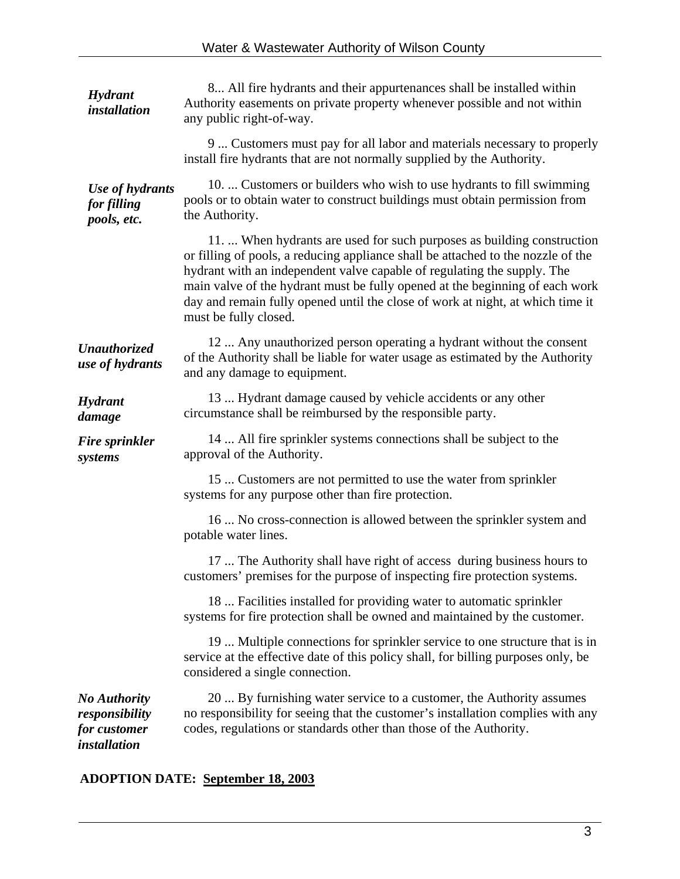| Hydrant<br><i>installation</i>                                               | 8 All fire hydrants and their appurtenances shall be installed within<br>Authority easements on private property whenever possible and not within<br>any public right-of-way.                                                                                                                                                                                                                                                    |  |  |
|------------------------------------------------------------------------------|----------------------------------------------------------------------------------------------------------------------------------------------------------------------------------------------------------------------------------------------------------------------------------------------------------------------------------------------------------------------------------------------------------------------------------|--|--|
|                                                                              | 9  Customers must pay for all labor and materials necessary to properly<br>install fire hydrants that are not normally supplied by the Authority.                                                                                                                                                                                                                                                                                |  |  |
| Use of hydrants<br>for filling<br>pools, etc.                                | 10.  Customers or builders who wish to use hydrants to fill swimming<br>pools or to obtain water to construct buildings must obtain permission from<br>the Authority.                                                                                                                                                                                                                                                            |  |  |
|                                                                              | 11.  When hydrants are used for such purposes as building construction<br>or filling of pools, a reducing appliance shall be attached to the nozzle of the<br>hydrant with an independent valve capable of regulating the supply. The<br>main valve of the hydrant must be fully opened at the beginning of each work<br>day and remain fully opened until the close of work at night, at which time it<br>must be fully closed. |  |  |
| <b>Unauthorized</b><br>use of hydrants                                       | 12. Any unauthorized person operating a hydrant without the consent<br>of the Authority shall be liable for water usage as estimated by the Authority<br>and any damage to equipment.                                                                                                                                                                                                                                            |  |  |
| Hydrant<br>damage                                                            | 13  Hydrant damage caused by vehicle accidents or any other<br>circumstance shall be reimbursed by the responsible party.                                                                                                                                                                                                                                                                                                        |  |  |
| <b>Fire sprinkler</b><br>systems                                             | 14  All fire sprinkler systems connections shall be subject to the<br>approval of the Authority.                                                                                                                                                                                                                                                                                                                                 |  |  |
|                                                                              | 15  Customers are not permitted to use the water from sprinkler<br>systems for any purpose other than fire protection.                                                                                                                                                                                                                                                                                                           |  |  |
|                                                                              | 16  No cross-connection is allowed between the sprinkler system and<br>potable water lines.                                                                                                                                                                                                                                                                                                                                      |  |  |
|                                                                              | 17  The Authority shall have right of access during business hours to<br>customers' premises for the purpose of inspecting fire protection systems.                                                                                                                                                                                                                                                                              |  |  |
|                                                                              | 18  Facilities installed for providing water to automatic sprinkler<br>systems for fire protection shall be owned and maintained by the customer.                                                                                                                                                                                                                                                                                |  |  |
|                                                                              | 19  Multiple connections for sprinkler service to one structure that is in<br>service at the effective date of this policy shall, for billing purposes only, be<br>considered a single connection.                                                                                                                                                                                                                               |  |  |
| <b>No Authority</b><br>responsibility<br>for customer<br><i>installation</i> | 20  By furnishing water service to a customer, the Authority assumes<br>no responsibility for seeing that the customer's installation complies with any<br>codes, regulations or standards other than those of the Authority.                                                                                                                                                                                                    |  |  |

**ADOPTION DATE: September 18, 2003**